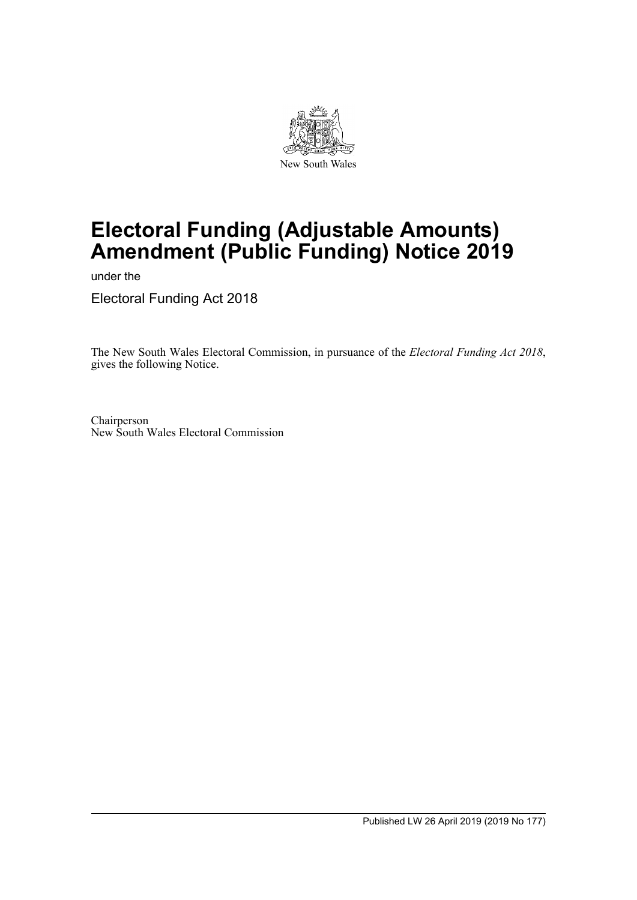

# **Electoral Funding (Adjustable Amounts) Amendment (Public Funding) Notice 2019**

under the

Electoral Funding Act 2018

The New South Wales Electoral Commission, in pursuance of the *Electoral Funding Act 2018*, gives the following Notice.

Chairperson New South Wales Electoral Commission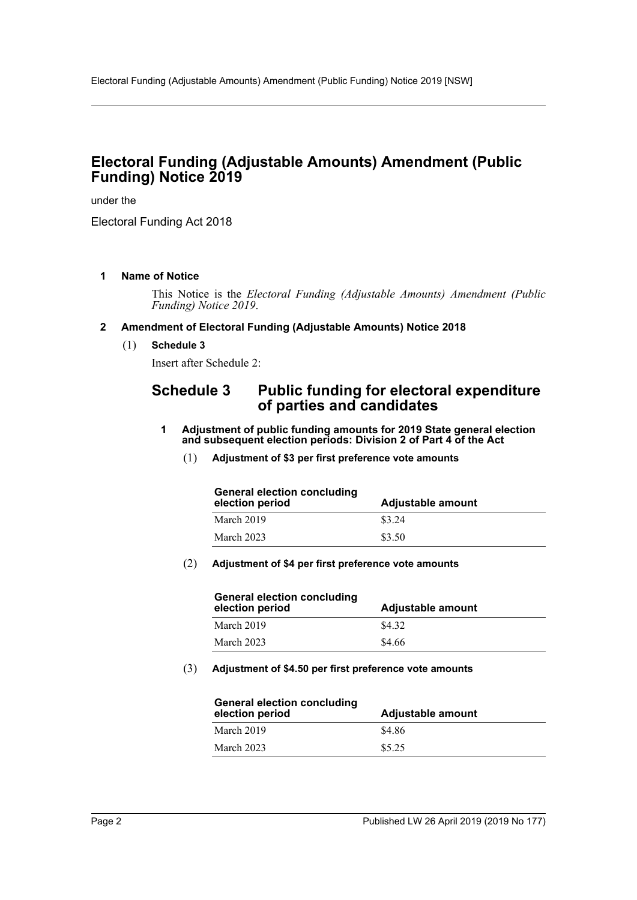## **Electoral Funding (Adjustable Amounts) Amendment (Public Funding) Notice 2019**

under the

Electoral Funding Act 2018

#### **1 Name of Notice**

This Notice is the *Electoral Funding (Adjustable Amounts) Amendment (Public Funding) Notice 2019*.

#### **2 Amendment of Electoral Funding (Adjustable Amounts) Notice 2018**

(1) **Schedule 3**

Insert after Schedule 2:

## **Schedule 3 Public funding for electoral expenditure of parties and candidates**

- **1 Adjustment of public funding amounts for 2019 State general election and subsequent election periods: Division 2 of Part 4 of the Act**
	- (1) **Adjustment of \$3 per first preference vote amounts**

| <b>General election concluding</b><br>election period | Adjustable amount |
|-------------------------------------------------------|-------------------|
| March 2019                                            | \$3.24            |
| March 2023                                            | \$3.50            |

#### (2) **Adjustment of \$4 per first preference vote amounts**

| <b>General election concluding</b><br>election period | <b>Adjustable amount</b> |
|-------------------------------------------------------|--------------------------|
| March 2019                                            | \$4.32                   |
| March 2023                                            | \$4.66                   |

(3) **Adjustment of \$4.50 per first preference vote amounts**

| General election concluding<br>election period | Adjustable amount |
|------------------------------------------------|-------------------|
| March 2019                                     | \$4.86            |
| March 2023                                     | \$5.25            |